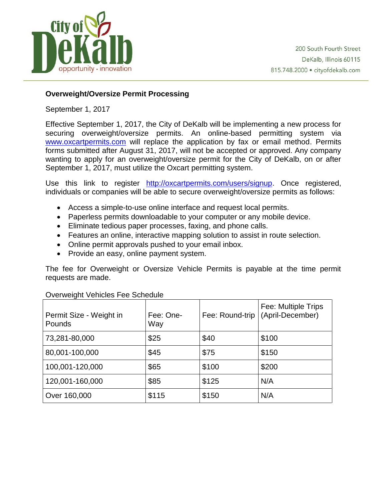

## **[Overweight/Oversize Permit Processing](https://jolietpolice.org/2016/02/overweightoversize-permit-processing/)**

September 1, 2017

Effective September 1, 2017, the City of DeKalb will be implementing a new process for securing overweight/oversize permits. An online-based permitting system via [www.oxcartpermits.com](http://www.oxcartpermits.com/) will replace the application by fax or email method. Permits forms submitted after August 31, 2017, will not be accepted or approved. Any company wanting to apply for an overweight/oversize permit for the City of DeKalb, on or after September 1, 2017, must utilize the Oxcart permitting system.

Use this link to register [http://oxcartpermits.com/users/signup.](http://oxcartpermits.com/users/signup) Once registered, individuals or companies will be able to secure overweight/oversize permits as follows:

- Access a simple-to-use online interface and request local permits.
- Paperless permits downloadable to your computer or any mobile device.
- Eliminate tedious paper processes, faxing, and phone calls.
- Features an online, interactive mapping solution to assist in route selection.
- Online permit approvals pushed to your email inbox.
- Provide an easy, online payment system.

The fee for Overweight or Oversize Vehicle Permits is payable at the time permit requests are made.

| Permit Size - Weight in<br><b>Pounds</b> | Fee: One-<br>Way | Fee: Round-trip | Fee: Multiple Trips<br>(April-December) |
|------------------------------------------|------------------|-----------------|-----------------------------------------|
| 73,281-80,000                            | \$25             | \$40            | \$100                                   |
| 80,001-100,000                           | \$45             | \$75            | \$150                                   |
| 100,001-120,000                          | \$65             | \$100           | \$200                                   |
| 120,001-160,000                          | \$85             | \$125           | N/A                                     |
| Over 160,000                             | \$115            | \$150           | N/A                                     |

## Overweight Vehicles Fee Schedule